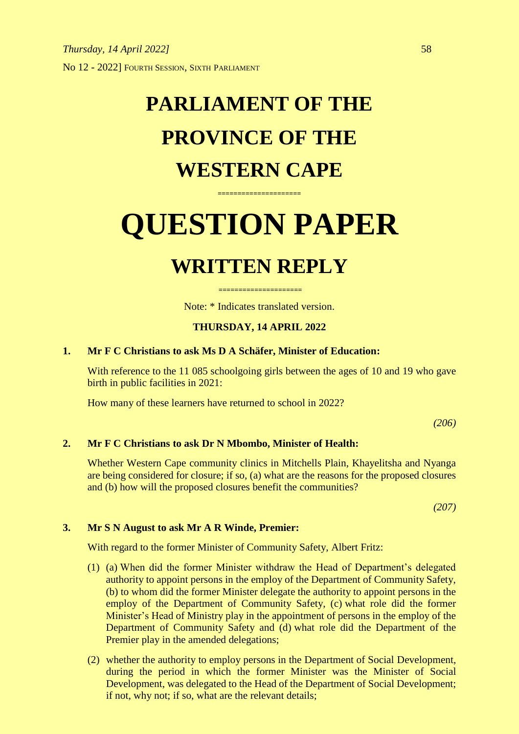## **PARLIAMENT OF THE PROVINCE OF THE WESTERN CAPE**

# **QUESTION PAPER**

**=====================**

### **WRITTEN REPLY**

Note: \* Indicates translated version.

**=====================**

#### **THURSDAY, 14 APRIL 2022**

#### **1. Mr F C Christians to ask Ms D A Schäfer, Minister of Education:**

With reference to the 11 085 schoolgoing girls between the ages of 10 and 19 who gave birth in public facilities in 2021:

How many of these learners have returned to school in 2022?

*(206)*

#### **2. Mr F C Christians to ask Dr N Mbombo, Minister of Health:**

Whether Western Cape community clinics in Mitchells Plain, Khayelitsha and Nyanga are being considered for closure; if so, (a) what are the reasons for the proposed closures and (b) how will the proposed closures benefit the communities?

*(207)*

#### **3. Mr S N August to ask Mr A R Winde, Premier:**

With regard to the former Minister of Community Safety, Albert Fritz:

- (1) (a) When did the former Minister withdraw the Head of Department's delegated authority to appoint persons in the employ of the Department of Community Safety, (b) to whom did the former Minister delegate the authority to appoint persons in the employ of the Department of Community Safety, (c) what role did the former Minister's Head of Ministry play in the appointment of persons in the employ of the Department of Community Safety and (d) what role did the Department of the Premier play in the amended delegations;
- (2) whether the authority to employ persons in the Department of Social Development, during the period in which the former Minister was the Minister of Social Development, was delegated to the Head of the Department of Social Development; if not, why not; if so, what are the relevant details;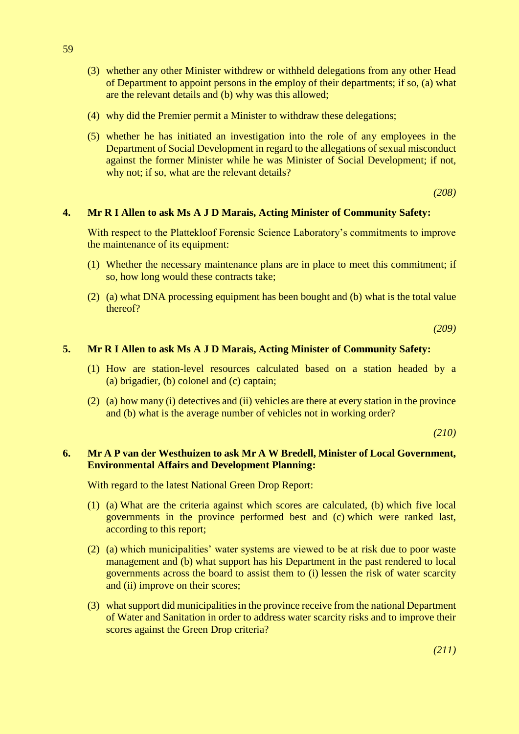- (3) whether any other Minister withdrew or withheld delegations from any other Head of Department to appoint persons in the employ of their departments; if so, (a) what are the relevant details and (b) why was this allowed;
- (4) why did the Premier permit a Minister to withdraw these delegations;
- (5) whether he has initiated an investigation into the role of any employees in the Department of Social Development in regard to the allegations of sexual misconduct against the former Minister while he was Minister of Social Development; if not, why not; if so, what are the relevant details?

*(208)*

#### **4. Mr R I Allen to ask Ms A J D Marais, Acting Minister of Community Safety:**

With respect to the Plattekloof Forensic Science Laboratory's commitments to improve the maintenance of its equipment:

- (1) Whether the necessary maintenance plans are in place to meet this commitment; if so, how long would these contracts take;
- (2) (a) what DNA processing equipment has been bought and (b) what is the total value thereof?

*(209)*

#### **5. Mr R I Allen to ask Ms A J D Marais, Acting Minister of Community Safety:**

- (1) How are station-level resources calculated based on a station headed by a (a) brigadier, (b) colonel and (c) captain;
- (2) (a) how many (i) detectives and (ii) vehicles are there at every station in the province and (b) what is the average number of vehicles not in working order?

*(210)*

#### **6. Mr A P van der Westhuizen to ask Mr A W Bredell, Minister of Local Government, Environmental Affairs and Development Planning:**

With regard to the latest National Green Drop Report:

- (1) (a) What are the criteria against which scores are calculated, (b) which five local governments in the province performed best and (c) which were ranked last, according to this report;
- (2) (a) which municipalities' water systems are viewed to be at risk due to poor waste management and (b) what support has his Department in the past rendered to local governments across the board to assist them to (i) lessen the risk of water scarcity and (ii) improve on their scores;
- (3) whatsupport did municipalities in the province receive from the national Department of Water and Sanitation in order to address water scarcity risks and to improve their scores against the Green Drop criteria?

*(211)*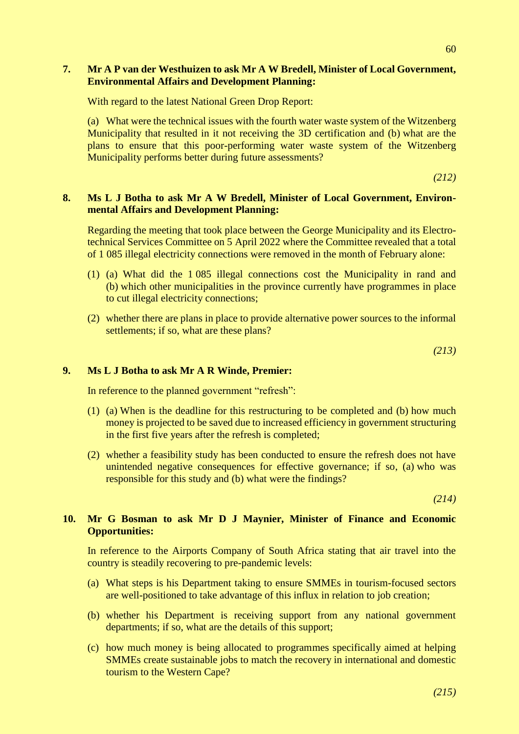#### **7. Mr A P van der Westhuizen to ask Mr A W Bredell, Minister of Local Government, Environmental Affairs and Development Planning:**

With regard to the latest National Green Drop Report:

(a) What were the technical issues with the fourth water waste system of the Witzenberg Municipality that resulted in it not receiving the 3D certification and (b) what are the plans to ensure that this poor-performing water waste system of the Witzenberg Municipality performs better during future assessments?

*(212)*

#### **8. Ms L J Botha to ask Mr A W Bredell, Minister of Local Government, Environmental Affairs and Development Planning:**

Regarding the meeting that took place between the George Municipality and its Electrotechnical Services Committee on 5 April 2022 where the Committee revealed that a total of 1 085 illegal electricity connections were removed in the month of February alone:

- (1) (a) What did the 1 085 illegal connections cost the Municipality in rand and (b) which other municipalities in the province currently have programmes in place to cut illegal electricity connections;
- (2) whether there are plans in place to provide alternative power sources to the informal settlements; if so, what are these plans?

*(213)*

#### **9. Ms L J Botha to ask Mr A R Winde, Premier:**

In reference to the planned government "refresh":

- (1) (a) When is the deadline for this restructuring to be completed and (b) how much money is projected to be saved due to increased efficiency in government structuring in the first five years after the refresh is completed;
- (2) whether a feasibility study has been conducted to ensure the refresh does not have unintended negative consequences for effective governance; if so, (a) who was responsible for this study and (b) what were the findings?

*(214)*

#### **10. Mr G Bosman to ask Mr D J Maynier, Minister of Finance and Economic Opportunities:**

In reference to the Airports Company of South Africa stating that air travel into the country is steadily recovering to pre-pandemic levels:

- (a) What steps is his Department taking to ensure SMMEs in tourism-focused sectors are well-positioned to take advantage of this influx in relation to job creation;
- (b) whether his Department is receiving support from any national government departments; if so, what are the details of this support;
- (c) how much money is being allocated to programmes specifically aimed at helping SMMEs create sustainable jobs to match the recovery in international and domestic tourism to the Western Cape?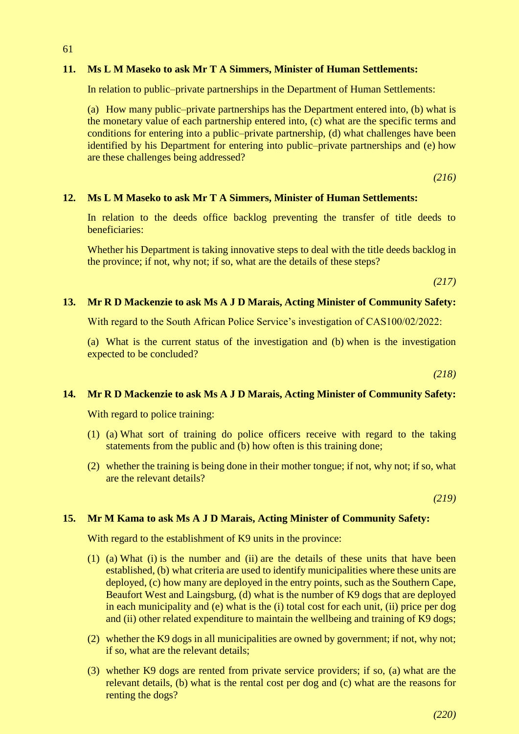#### **11. Ms L M Maseko to ask Mr T A Simmers, Minister of Human Settlements:**

In relation to public–private partnerships in the Department of Human Settlements:

(a) How many public–private partnerships has the Department entered into, (b) what is the monetary value of each partnership entered into, (c) what are the specific terms and conditions for entering into a public–private partnership, (d) what challenges have been identified by his Department for entering into public–private partnerships and (e) how are these challenges being addressed?

*(216)*

#### **12. Ms L M Maseko to ask Mr T A Simmers, Minister of Human Settlements:**

In relation to the deeds office backlog preventing the transfer of title deeds to beneficiaries:

Whether his Department is taking innovative steps to deal with the title deeds backlog in the province; if not, why not; if so, what are the details of these steps?

*(217)*

#### **13. Mr R D Mackenzie to ask Ms A J D Marais, Acting Minister of Community Safety:**

With regard to the South African Police Service's investigation of CAS100/02/2022:

(a) What is the current status of the investigation and (b) when is the investigation expected to be concluded?

*(218)*

#### **14. Mr R D Mackenzie to ask Ms A J D Marais, Acting Minister of Community Safety:**

With regard to police training:

61

- (1) (a) What sort of training do police officers receive with regard to the taking statements from the public and (b) how often is this training done;
- (2) whether the training is being done in their mother tongue; if not, why not; if so, what are the relevant details?

*(219)*

#### **15. Mr M Kama to ask Ms A J D Marais, Acting Minister of Community Safety:**

With regard to the establishment of K9 units in the province:

- (1) (a) What (i) is the number and (ii) are the details of these units that have been established, (b) what criteria are used to identify municipalities where these units are deployed, (c) how many are deployed in the entry points, such as the Southern Cape, Beaufort West and Laingsburg, (d) what is the number of K9 dogs that are deployed in each municipality and (e) what is the (i) total cost for each unit, (ii) price per dog and (ii) other related expenditure to maintain the wellbeing and training of K9 dogs;
- (2) whether the K9 dogs in all municipalities are owned by government; if not, why not; if so, what are the relevant details;
- (3) whether K9 dogs are rented from private service providers; if so, (a) what are the relevant details, (b) what is the rental cost per dog and (c) what are the reasons for renting the dogs?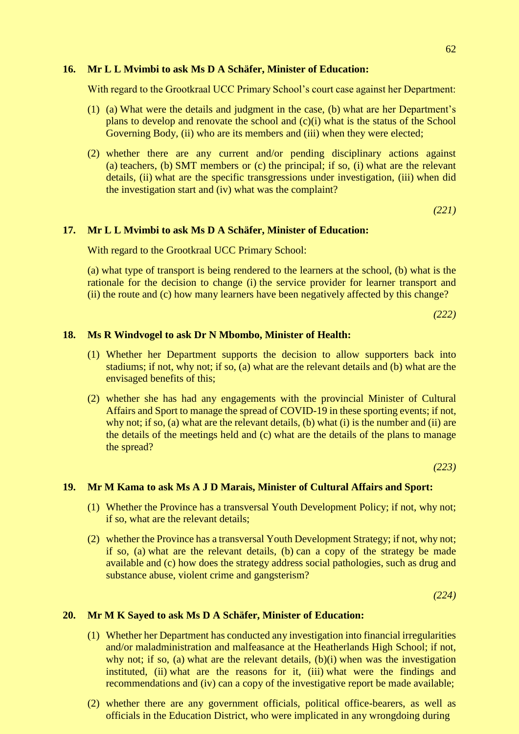#### **16. Mr L L Mvimbi to ask Ms D A Schäfer, Minister of Education:**

With regard to the Grootkraal UCC Primary School's court case against her Department:

- (1) (a) What were the details and judgment in the case, (b) what are her Department's plans to develop and renovate the school and (c)(i) what is the status of the School Governing Body, (ii) who are its members and (iii) when they were elected;
- (2) whether there are any current and/or pending disciplinary actions against (a) teachers, (b) SMT members or (c) the principal; if so, (i) what are the relevant details, (ii) what are the specific transgressions under investigation, (iii) when did the investigation start and (iv) what was the complaint?

*(221)*

#### **17. Mr L L Mvimbi to ask Ms D A Schäfer, Minister of Education:**

With regard to the Grootkraal UCC Primary School:

(a) what type of transport is being rendered to the learners at the school, (b) what is the rationale for the decision to change (i) the service provider for learner transport and (ii) the route and (c) how many learners have been negatively affected by this change?

*(222)*

#### **18. Ms R Windvogel to ask Dr N Mbombo, Minister of Health:**

- (1) Whether her Department supports the decision to allow supporters back into stadiums; if not, why not; if so, (a) what are the relevant details and (b) what are the envisaged benefits of this;
- (2) whether she has had any engagements with the provincial Minister of Cultural Affairs and Sport to manage the spread of COVID-19 in these sporting events; if not, why not; if so, (a) what are the relevant details, (b) what (i) is the number and (ii) are the details of the meetings held and (c) what are the details of the plans to manage the spread?

*(223)*

#### **19. Mr M Kama to ask Ms A J D Marais, Minister of Cultural Affairs and Sport:**

- (1) Whether the Province has a transversal Youth Development Policy; if not, why not; if so, what are the relevant details;
- (2) whether the Province has a transversal Youth Development Strategy; if not, why not; if so, (a) what are the relevant details, (b) can a copy of the strategy be made available and (c) how does the strategy address social pathologies, such as drug and substance abuse, violent crime and gangsterism?

*(224)*

#### **20. Mr M K Sayed to ask Ms D A Schäfer, Minister of Education:**

- (1) Whether her Department has conducted any investigation into financial irregularities and/or maladministration and malfeasance at the Heatherlands High School; if not, why not; if so, (a) what are the relevant details, (b)(i) when was the investigation instituted, (ii) what are the reasons for it, (iii) what were the findings and recommendations and (iv) can a copy of the investigative report be made available;
- (2) whether there are any government officials, political office-bearers, as well as officials in the Education District, who were implicated in any wrongdoing during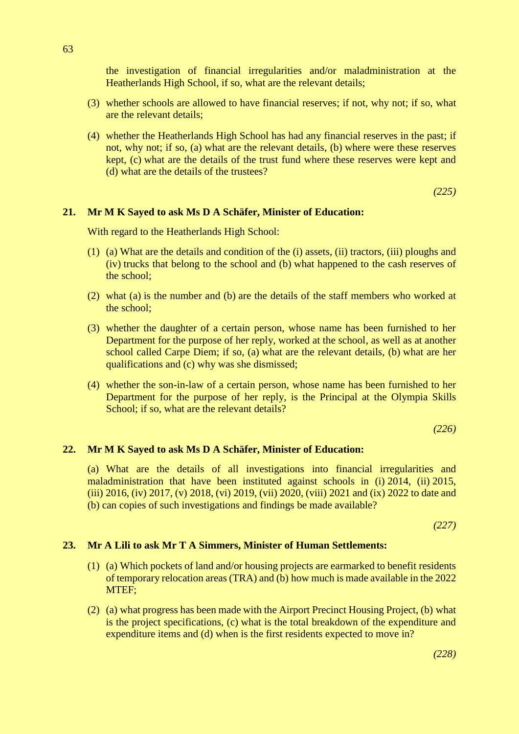the investigation of financial irregularities and/or maladministration at the Heatherlands High School, if so, what are the relevant details;

- (3) whether schools are allowed to have financial reserves; if not, why not; if so, what are the relevant details;
- (4) whether the Heatherlands High School has had any financial reserves in the past; if not, why not; if so, (a) what are the relevant details, (b) where were these reserves kept, (c) what are the details of the trust fund where these reserves were kept and (d) what are the details of the trustees?

*(225)*

#### **21. Mr M K Sayed to ask Ms D A Schäfer, Minister of Education:**

With regard to the Heatherlands High School:

- (1) (a) What are the details and condition of the (i) assets, (ii) tractors, (iii) ploughs and (iv) trucks that belong to the school and (b) what happened to the cash reserves of the school;
- (2) what (a) is the number and (b) are the details of the staff members who worked at the school;
- (3) whether the daughter of a certain person, whose name has been furnished to her Department for the purpose of her reply, worked at the school, as well as at another school called Carpe Diem; if so, (a) what are the relevant details, (b) what are her qualifications and (c) why was she dismissed;
- (4) whether the son-in-law of a certain person, whose name has been furnished to her Department for the purpose of her reply, is the Principal at the Olympia Skills School; if so, what are the relevant details?

*(226)*

#### **22. Mr M K Sayed to ask Ms D A Schäfer, Minister of Education:**

(a) What are the details of all investigations into financial irregularities and maladministration that have been instituted against schools in (i) 2014, (ii) 2015, (iii) 2016, (iv) 2017, (v) 2018, (vi) 2019, (vii) 2020, (viii) 2021 and (ix) 2022 to date and (b) can copies of such investigations and findings be made available?

*(227)*

#### **23. Mr A Lili to ask Mr T A Simmers, Minister of Human Settlements:**

- (1) (a) Which pockets of land and/or housing projects are earmarked to benefit residents of temporary relocation areas (TRA) and (b) how much is made available in the 2022 MTEF;
- (2) (a) what progress has been made with the Airport Precinct Housing Project, (b) what is the project specifications, (c) what is the total breakdown of the expenditure and expenditure items and (d) when is the first residents expected to move in?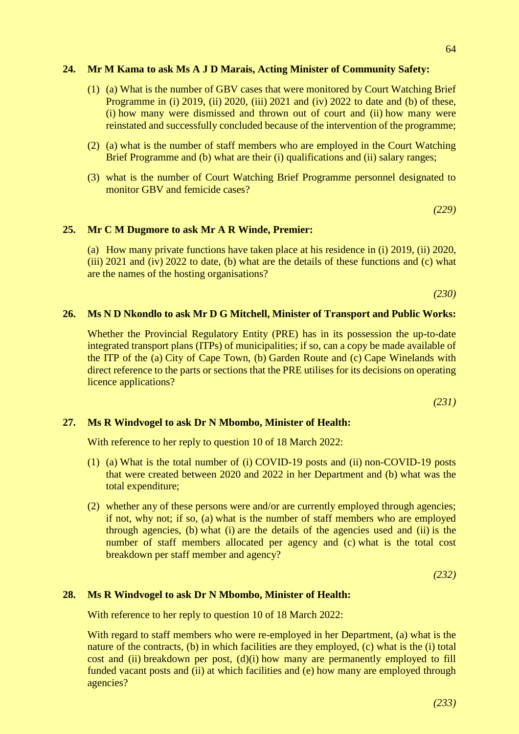#### **24. Mr M Kama to ask Ms A J D Marais, Acting Minister of Community Safety:**

- (1) (a) What is the number of GBV cases that were monitored by Court Watching Brief Programme in (i) 2019, (ii) 2020, (iii) 2021 and (iv) 2022 to date and (b) of these, (i) how many were dismissed and thrown out of court and (ii) how many were reinstated and successfully concluded because of the intervention of the programme;
- (2) (a) what is the number of staff members who are employed in the Court Watching Brief Programme and (b) what are their (i) qualifications and (ii) salary ranges;
- (3) what is the number of Court Watching Brief Programme personnel designated to monitor GBV and femicide cases?

*(229)*

#### **25. Mr C M Dugmore to ask Mr A R Winde, Premier:**

(a) How many private functions have taken place at his residence in (i) 2019, (ii) 2020, (iii) 2021 and (iv) 2022 to date, (b) what are the details of these functions and (c) what are the names of the hosting organisations?

*(230)*

#### **26. Ms N D Nkondlo to ask Mr D G Mitchell, Minister of Transport and Public Works:**

Whether the Provincial Regulatory Entity (PRE) has in its possession the up-to-date integrated transport plans (ITPs) of municipalities; if so, can a copy be made available of the ITP of the (a) City of Cape Town, (b) Garden Route and (c) Cape Winelands with direct reference to the parts or sections that the PRE utilises for its decisions on operating licence applications?

*(231)*

#### **27. Ms R Windvogel to ask Dr N Mbombo, Minister of Health:**

With reference to her reply to question 10 of 18 March 2022:

- (1) (a) What is the total number of (i) COVID-19 posts and (ii) non-COVID-19 posts that were created between 2020 and 2022 in her Department and (b) what was the total expenditure;
- (2) whether any of these persons were and/or are currently employed through agencies; if not, why not; if so, (a) what is the number of staff members who are employed through agencies, (b) what (i) are the details of the agencies used and (ii) is the number of staff members allocated per agency and (c) what is the total cost breakdown per staff member and agency?

*(232)*

#### **28. Ms R Windvogel to ask Dr N Mbombo, Minister of Health:**

With reference to her reply to question 10 of 18 March 2022:

With regard to staff members who were re-employed in her Department, (a) what is the nature of the contracts, (b) in which facilities are they employed, (c) what is the (i) total cost and (ii) breakdown per post, (d)(i) how many are permanently employed to fill funded vacant posts and (ii) at which facilities and (e) how many are employed through agencies?